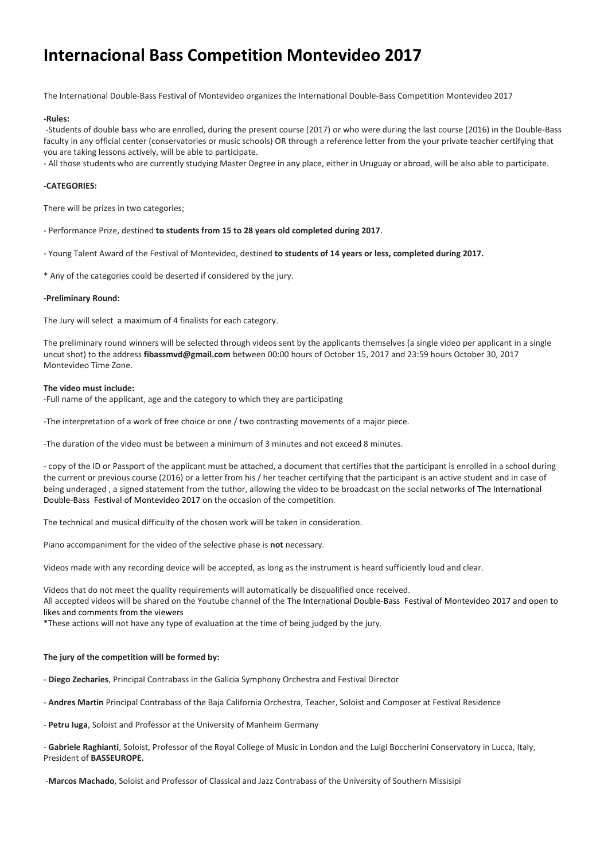# **Internacional Bass Competition Montevideo 2017**

The International Double-Bass Festival of Montevideo organizes the International Double-Bass Competition Montevideo 2017

#### **-Rules:**

-Students of double bass who are enrolled, during the present course (2017) or who were during the last course (2016) in the Double-Bass faculty in any official center (conservatories or music schools) OR through a reference letter from the your private teacher certifying that you are taking lessons actively, will be able to participate.

- All those students who are currently studying Master Degree in any place, either in Uruguay or abroad, will be also able to participate.

# **-CATEGORIES:**

There will be prizes in two categories;

- Performance Prize, destined **to students from 15 to 28 years old completed during 2017**.
- Young Talent Award of the Festival of Montevideo, destined **to students of 14 years or less, completed during 2017.**
- \* Any of the categories could be deserted if considered by the jury.

#### **-Preliminary Round:**

The Jury will select a maximum of 4 finalists for each category.

The preliminary round winners will be selected through videos sent by the applicants themselves (a single video per applicant in a single uncut shot) to the address **fibassmvd@gmail.com** between 00:00 hours of October 15, 2017 and 23:59 hours October 30, 2017 Montevideo Time Zone.

#### **The video must include:**

-Full name of the applicant, age and the category to which they are participating

-The interpretation of a work of free choice or one / two contrasting movements of a major piece.

-The duration of the video must be between a minimum of 3 minutes and not exceed 8 minutes.

- copy of the ID or Passport of the applicant must be attached, a document that certifies that the participant is enrolled in a school during the current or previous course (2016) or a letter from his / her teacher certifying that the participant is an active student and in case of being underaged , a signed statement from the tuthor, allowing the video to be broadcast on the social networks of The International Double-Bass Festival of Montevideo 2017 on the occasion of the competition.

The technical and musical difficulty of the chosen work will be taken in consideration.

Piano accompaniment for the video of the selective phase is **not** necessary.

Videos made with any recording device will be accepted, as long as the instrument is heard sufficiently loud and clear.

Videos that do not meet the quality requirements will automatically be disqualified once received. All accepted videos will be shared on the Youtube channel of the The International Double-Bass Festival of Montevideo 2017 and open to likes and comments from the viewers

\*These actions will not have any type of evaluation at the time of being judged by the jury.

## **The jury of the competition will be formed by:**

- **Diego Zecharies**, Principal Contrabass in the Galicia Symphony Orchestra and Festival Director

- **Andres Martin** Principal Contrabass of the Baja California Orchestra, Teacher, Soloist and Composer at Festival Residence

- **Petru Iuga**, Soloist and Professor at the University of Manheim Germany

- **Gabriele Raghianti**, Soloist, Professor of the Royal College of Music in London and the Luigi Boccherini Conservatory in Lucca, Italy, President of **BASSEUROPE.**

-**Marcos Machado**, Soloist and Professor of Classical and Jazz Contrabass of the University of Southern Missisipi